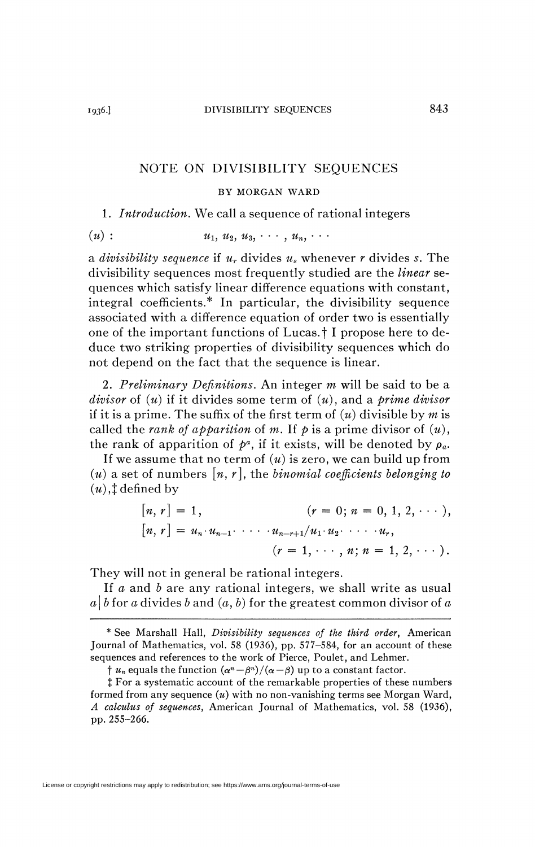## NOTE ON DIVISIBILITY SEQUENCES

## BY MORGAN WARD

## 1. *Introduction.* We call a sequence of rational integers

 $(u)$  :  $u_1, u_2, u_3, \cdots, u_n, \cdots$ 

a *divisibility sequence* if *u<sup>r</sup>* divides *u<sup>s</sup>* whenever *r* divides *s.* The divisibility sequences most frequently studied are the *linear* sequences which satisfy linear difference equations with constant, integral coefficients.\* In particular, the divisibility sequence associated with a difference equation of order two is essentially one of the important functions of Lucas, f I propose here to deduce two striking properties of divisibility sequences which do not depend on the fact that the sequence is linear.

2. *Preliminary Definitions.* An integer *m* will be said to be a *divisor* of *(u)* if it divides some term of *(u)*, and a *prime divisor*  if it is a prime. The suffix of the first term of *(u)* divisible by *m* is called the *rank* of apparition of m. If p is a prime divisor of  $(u)$ , the rank of apparition of  $p^a$ , if it exists, will be denoted by  $\rho_a$ .

If we assume that no term of *(u)* is zero, we can build up from  $(u)$  a set of numbers  $[n, r]$ , the *binomial coefficients belonging to*  $(u)$ ,  $\ddagger$  defined by

$$
[n, r] = 1, \qquad (r = 0; n = 0, 1, 2, \cdots),
$$
  
\n
$$
[n, r] = u_n \cdot u_{n-1} \cdot \cdots \cdot u_{n-r+1}/u_1 \cdot u_2 \cdot \cdots \cdot u_r,
$$
  
\n
$$
(r = 1, \cdots, n; n = 1, 2, \cdots).
$$

They will not in general be rational integers.

If *a* and *b* are any rational integers, we shall write as usual  $a | b$  for a divides b and  $(a, b)$  for the greatest common divisor of a

<sup>\*</sup> See Marshall Hall, *Divisibility sequences of the third order,* American Journal of Mathematics, vol. 58 (1936), pp. 577-584, for an account of these sequences and references to the work of Pierce, Poulet, and Lehmer.

*f*  $u_n$  equals the function  $(\alpha^n - \beta^n)/(\alpha - \beta)$  up to a constant factor.

t For a systematic account of the remarkable properties of these numbers formed from any sequence *(u)* with no non-vanishing terms see Morgan Ward, *A calculus of sequences,* American Journal of Mathematics, vol. 58 (1936), pp. 255-266.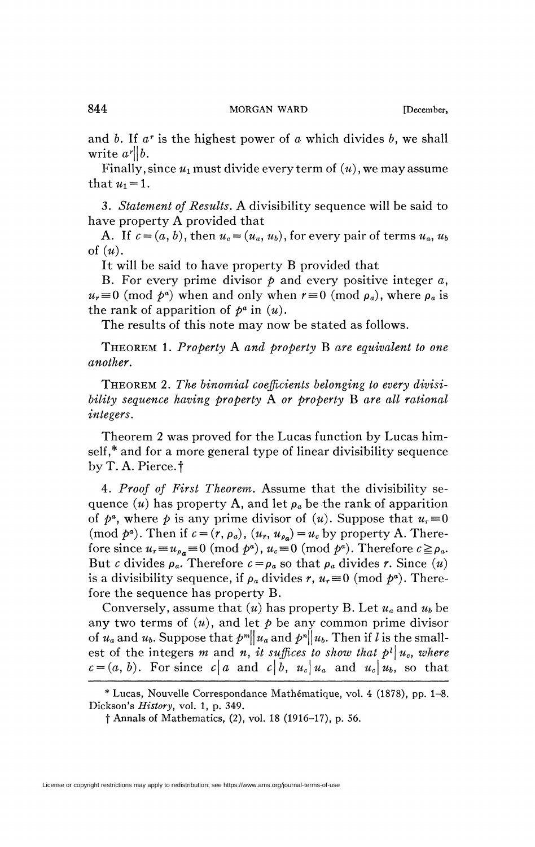and *b.* If *a r* is the highest power of *a* which divides *b,* we shall write  $a^r || b$ .

Finally, since  $u_1$  must divide every term of  $(u)$ , we may assume that  $u_1 = 1$ .

3. *Statement of Results.* A divisibility sequence will be said to have property A provided that

A. If  $c = (a, b)$ , then  $u_c = (u_a, u_b)$ , for every pair of terms  $u_a, u_b$ of *(u).* 

It will be said to have property B provided that

B. For every prime divisor *p* and every positive integer *a,*   $u_r \equiv 0 \pmod{p^a}$  when and only when  $r \equiv 0 \pmod{p_a}$ , where  $\rho_a$  is the rank of apparition of  $p^a$  in  $(u)$ .

The results of this note may now be stated as follows.

THEOREM 1. *Property* A *and property* B *are equivalent to one another.* 

THEOREM *2. The binomial coefficients belonging to every divisibility sequence having property* A *or property* B *are all rational integers.* 

Theorem 2 was proved for the Lucas function by Lucas himself,\* and for a more general type of linear divisibility sequence by T. A. Pierce, f

4. *Proof of First Theorem.* Assume that the divisibility sequence  $(u)$  has property A, and let  $\rho_a$  be the rank of apparition of  $p^a$ , where p is any prime divisor of  $(u)$ . Suppose that  $u_r \equiv 0$  $(\text{mod } p^a)$ . Then if  $c = (r, \rho_a)$ ,  $(u_r, u_{\rho_a}) = u_c$  by property A. Therefore since  $u_r \equiv u_{\rho_a} \equiv 0 \pmod{p^a}$ ,  $u_c \equiv 0 \pmod{p^a}$ . Therefore  $c \ge \rho_a$ . But *c* divides  $\rho_a$ . Therefore  $c = \rho_a$  so that  $\rho_a$  divides *r*. Since  $(u)$ is a divisibility sequence, if  $\rho_a$  divides  $r$ ,  $u_r \equiv 0 \pmod{p^a}$ . Therefore the sequence has property B.

Conversely, assume that *(u)* has property B. Let *ua* and *Ub* be any two terms of  $(u)$ , and let  $p$  be any common prime divisor of  $u_a$  and  $u_b$ . Suppose that  $p^m\|u_a$  and  $p^n\|u_b$ . Then if  $l$  is the smallest of the integers m and n, it suffices to show that  $p^l | u_c$ , where  $c = (a, b)$ . For since  $c \mid a$  and  $c \mid b$ ,  $u_c \mid u_a$  and  $u_c \mid u_b$ , so that

<sup>\*</sup> Lucas, Nouvelle Correspondance Mathématique, vol. 4 (1878), pp. 1-8. Dickson's *History,* vol. 1, p. 349.

f Annals of Mathematics, (2), vol. 18 (1916-17), p. 56.